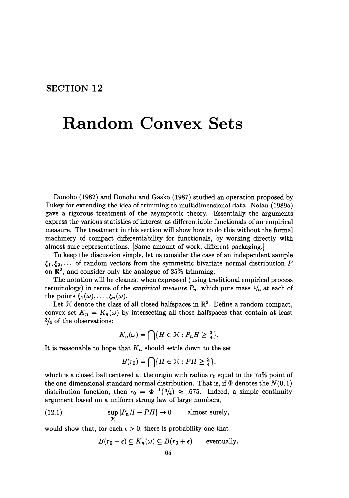## **SECTION 12**

## **Random Convex Sets**

Donoho (1982) and Donoho and Gasko (1987) studied an operation proposed by Tukey for extending the idea of trimming to multidimensional data. Nolan (1989a) gave a rigorous treatment of the asymptotic theory. Essentially the arguments express the various statistics of interest as differentiable functionals of an empirical measure. The treatment in this section will show how to do this without the formal machinery of compact differentiability for functionals, by working directly with almost sure representations. [Same amount of work, different packaging.]

To keep the discussion simple, let us consider the case of an independent sample  $\xi_1, \xi_2, \ldots$  of random vectors from the symmetric bivariate normal distribution *P* on  $\mathbb{R}^2$ , and consider only the analogue of 25% trimming.

The notation will be cleanest when expressed (using traditional empirical process terminology) in terms of the *empirical measure*  $P_n$ , which puts mass  $\frac{1}{n}$  at each of the points  $\xi_1(\omega), \ldots, \xi_n(\omega)$ .

Let  $H$  denote the class of all closed halfspaces in  $\mathbb{R}^2$ . Define a random compact, convex set  $K_n = K_n(\omega)$  by intersecting all those halfspaces that contain at least 3/4 of the observations:

$$
K_n(\omega) = \bigcap \{ H \in \mathcal{H} : P_n H \ge \frac{3}{4} \}.
$$

It is reasonable to hope that  $K_n$  should settle down to the set

$$
B(r_0) = \bigcap \{ H \in \mathcal{H} : PH \ge \frac{3}{4} \},\
$$

which is a closed ball centered at the origin with radius  $r_0$  equal to the 75% point of the one-dimensional standard normal distribution. That is, if  $\Phi$  denotes the  $N(0,1)$ distribution function, then  $r_0 = \Phi^{-1}(3/4) \approx .675$ . Indeed, a simple continuity argument based on a uniform strong law of large numbers,

(12.1) 
$$
\sup_{\mathcal{H}} |P_n H - PH| \to 0 \quad \text{almost surely},
$$

would show that, for each  $\epsilon > 0$ , there is probability one that

$$
B(r_0 - \epsilon) \subseteq K_n(\omega) \subseteq B(r_0 + \epsilon) \quad \text{eventually.}
$$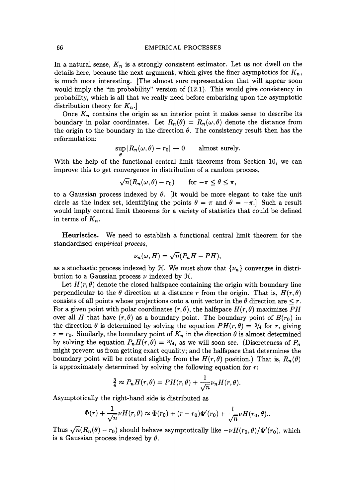## 66 EMPIRICAL PROCESSES

In a natural sense,  $K_n$  is a strongly consistent estimator. Let us not dwell on the details here, because the next argument, which gives the finer asymptotics for  $K_n$ , is much more interesting. (The almost sure representation that will appear soon would imply the "in probability" version of (12.1). This would give consistency in probability, which is all that we really need before embarking upon the asymptotic distribution theory for *Kn.]* 

Once  $K_n$  contains the origin as an interior point it makes sense to describe its boundary in polar coordinates. Let  $R_n(\theta) = R_n(\omega, \theta)$  denote the distance from the origin to the boundary in the direction  $\theta$ . The consistency result then has the reformulation:

$$
\sup_{\theta} |R_n(\omega, \theta) - r_0| \to 0 \quad \text{almost surely.}
$$

With the help of the functional central limit theorems from Section 10, we can improve this to get convergence in distribution of a random process,

$$
\sqrt{n}(R_n(\omega,\theta)-r_0) \quad \text{for } -\pi \leq \theta \leq \pi,
$$

to a Gaussian process indexed by  $\theta$ . [It would be more elegant to take the unit circle as the index set, identifying the points  $\theta = \pi$  and  $\theta = -\pi$ . Such a result would imply central limit theorems for a variety of statistics that could be defined in terms of  $K_n$ .

**Heuristics.** We need to establish a functional central limit theorem for the standardized *empirical process,* 

$$
\nu_n(\omega, H) = \sqrt{n}(P_n H - PH),
$$

as a stochastic process indexed by  $\mathcal{H}$ . We must show that  $\{\nu_n\}$  converges in distribution to a Gaussian process  $\nu$  indexed by  $\mathcal{H}$ .

Let  $H(r, \theta)$  denote the closed halfspace containing the origin with boundary line perpendicular to the  $\theta$  direction at a distance r from the origin. That is,  $H(r, \theta)$ consists of all points whose projections onto a unit vector in the  $\theta$  direction are  $\leq r$ . For a given point with polar coordinates  $(r, \theta)$ , the halfspace  $H(r, \theta)$  maximizes PH over all *H* that have  $(r, \theta)$  as a boundary point. The boundary point of  $B(r_0)$  in the direction  $\theta$  is determined by solving the equation  $PH(r, \theta) = \frac{3}{4}$  for *r*, giving  $r = r_0$ . Similarly, the boundary point of  $K_n$  in the direction  $\theta$  is almost determined by solving the equation  $P_nH(r,\theta) = \frac{3}{4}$ , as we will soon see. (Discreteness of  $P_n$ ) might prevent us from getting exact equality; and the halfspace that determines the boundary point will be rotated slightly from the  $H(r, \theta)$  position.) That is,  $R_n(\theta)$ is approximately determined by solving the following equation for  $r$ :

$$
\frac{3}{4} \approx P_n H(r,\theta) = PH(r,\theta) + \frac{1}{\sqrt{n}} \nu_n H(r,\theta).
$$

Asymptotically the right-hand side is distributed as

$$
\Phi(r) + \frac{1}{\sqrt{n}} \nu H(r,\theta) \approx \Phi(r_0) + (r - r_0) \Phi'(r_0) + \frac{1}{\sqrt{n}} \nu H(r_0,\theta).
$$

Thus  $\sqrt{n}(R_n(\theta)-r_0)$  should behave asymptotically like  $-\nu H(r_0,\theta)/\Phi'(r_0)$ , which is a Gaussian process indexed by  $\theta$ .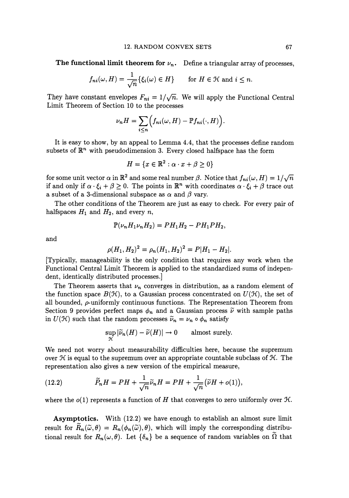**The functional limit theorem for**  $\nu_n$ **.** Define a triangular array of processes,

$$
f_{ni}(\omega, H) = \frac{1}{\sqrt{n}} \{ \xi_i(\omega) \in H \}
$$
 for  $H \in \mathcal{H}$  and  $i \leq n$ .

They have constant envelopes  $F_{ni} = 1/\sqrt{n}$ . We will apply the Functional Central Limit Theorem of Section 10 to the processes

$$
\nu_n H = \sum_{i \leq n} \Big( f_{ni}(\omega, H) - \mathbb{P} f_{ni}(\cdot, H) \Big).
$$

It is easy to show, by an appeal to Lemma 4.4, that the processes define random subsets of  $\mathbb{R}^n$  with pseudodimension 3. Every closed halfspace has the form

$$
H = \{x \in \mathbb{R}^2 : \alpha \cdot x + \beta \ge 0\}
$$

for some unit vector  $\alpha$  in  $\mathbb{R}^2$  and some real number  $\beta$ . Notice that  $f_{ni}(\omega, H) = 1/\sqrt{n}$ if and only if  $\alpha \cdot \xi_i + \beta \geq 0$ . The points in  $\mathbb{R}^n$  with coordinates  $\alpha \cdot \xi_i + \beta$  trace out a subset of a 3-dimensional subspace as  $\alpha$  and  $\beta$  vary.

The other conditions of the Theorem are just as easy to check. For every pair of halfspaces  $H_1$  and  $H_2$ , and every  $n$ ,

$$
\mathbb{P}(\nu_n H_1 \nu_n H_2) = P H_1 H_2 - P H_1 P H_2,
$$

and

$$
\rho(H_1, H_2)^2 = \rho_n(H_1, H_2)^2 = P|H_1 - H_2|.
$$

[Typically, manageability is the only condition that requires any work when the Functional Central Limit Theorem is applied to the standardized sums of independent, identically distributed processes.]

The Theorem asserts that  $\nu_n$  converges in distribution, as a random element of the function space  $B(\mathcal{H})$ , to a Gaussian process concentrated on  $U(\mathcal{H})$ , the set of all bounded,  $\rho$ -uniformly continuous functions. The Representation Theorem from Section 9 provides perfect maps  $\phi_n$  and a Gaussian process  $\tilde{\nu}$  with sample paths in  $U(\mathcal{H})$  such that the random processes  $\widetilde{\nu}_n = \nu_n \circ \phi_n$  satisfy

$$
\sup_{\mathcal{H}} |\widetilde{\nu}_n(H) - \widetilde{\nu}(H)| \to 0 \quad \text{almost surely.}
$$

We need not worry about measurability difficulties here, because the supremum over  $\mathcal H$  is equal to the supremum over an appropriate countable subclass of  $\mathcal H$ . The representation also gives a new version of the empirical measure,

(12.2) 
$$
\widetilde{P}_n H = PH + \frac{1}{\sqrt{n}} \widetilde{\nu}_n H = PH + \frac{1}{\sqrt{n}} (\widetilde{\nu} H + o(1)),
$$

where the  $o(1)$  represents a function of H that converges to zero uniformly over  $H$ .

**Asymptotics.** With (12.2) we have enough to establish an almost sure limit result for  $\tilde{R}_n(\tilde{\omega},\theta) = R_n(\phi_n(\tilde{\omega}),\theta)$ , which will imply the corresponding distributional result for  $R_n(\omega, \theta)$ . Let  $\{\delta_n\}$  be a sequence of random variables on  $\tilde{\Omega}$  that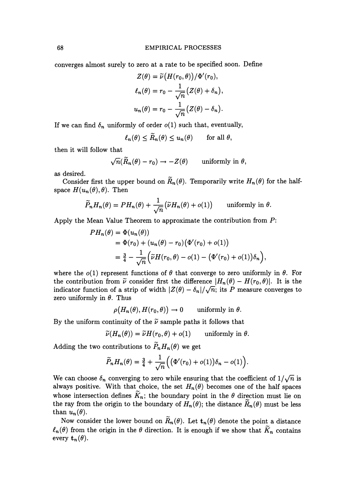converges almost surely to zero at a rate to be specified soon. Define

$$
Z(\theta) = \tilde{\nu} (H(r_0, \theta)) / \Phi'(r_0),
$$
  
\n
$$
\ell_n(\theta) = r_0 - \frac{1}{\sqrt{n}} (Z(\theta) + \delta_n),
$$
  
\n
$$
u_n(\theta) = r_0 - \frac{1}{\sqrt{n}} (Z(\theta) - \delta_n).
$$

If we can find  $\delta_n$  uniformly of order  $o(1)$  such that, eventually,

$$
\ell_n(\theta) \leq \widetilde{R}_n(\theta) \leq u_n(\theta) \quad \text{for all } \theta,
$$

then it will follow that

$$
\sqrt{n}(\widetilde{R}_n(\theta)-r_0)\to -Z(\theta) \qquad \text{uniformly in } \theta,
$$

as desired.

Consider first the upper bound on  $\widetilde{R}_n(\theta)$ . Temporarily write  $H_n(\theta)$  for the halfspace  $H(u_n(\theta), \theta)$ . Then

$$
\widetilde{P}_n H_n(\theta) = PH_n(\theta) + \frac{1}{\sqrt{n}} \big( \widetilde{\nu} H_n(\theta) + o(1) \big) \quad \text{ uniformly in } \theta.
$$

Apply the Mean Value Theorem to approximate the contribution from *P:* 

$$
PH_n(\theta) = \Phi(u_n(\theta))
$$
  
=  $\Phi(r_0) + (u_n(\theta) - r_0) (\Phi'(r_0) + o(1))$   
=  $\frac{3}{4} - \frac{1}{\sqrt{n}} (\tilde{\nu}H(r_0, \theta) - o(1) - (\Phi'(r_0) + o(1))\delta_n),$ 

where the  $o(1)$  represent functions of  $\theta$  that converge to zero uniformly in  $\theta$ . For the contribution from  $\tilde{\nu}$  consider first the difference  $|H_n(\theta) - H(r_0, \theta)|$ . It is the indicator function of a strip of width  $|Z(\theta) - \delta_n|/\sqrt{n}$ ; its *P* measure converges to zero uniformly in  $\theta$ . Thus

$$
\rho(H_n(\theta), H(r_0, \theta)) \to 0 \quad \text{ uniformly in } \theta.
$$

By the uniform continuity of the  $\tilde{\nu}$  sample paths it follows that

$$
\widetilde{\nu}(H_n(\theta)) = \widetilde{\nu}H(r_0, \theta) + o(1) \quad \text{ uniformly in } \theta.
$$

Adding the two contributions to  $\ddot{P}_nH_n(\theta)$  we get

$$
\widetilde{P}_n H_n(\theta) = \frac{3}{4} + \frac{1}{\sqrt{n}} \Big( \big( \Phi'(r_0) + o(1) \big) \delta_n - o(1) \Big).
$$

We can choose  $\delta_n$  converging to zero while ensuring that the coefficient of  $1/\sqrt{n}$  is always positive. With that choice, the set  $H_n(\theta)$  becomes one of the half spaces whose intersection defines  $\tilde{K}_n$ ; the boundary point in the  $\theta$  direction must lie on the ray from the origin to the boundary of  $H_n(\theta)$ ; the distance  $\widetilde{R}_n(\theta)$  must be less than  $u_n(\theta)$ .

Now consider the lower bound on  $\widetilde{R}_n(\theta)$ . Let  $t_n(\theta)$  denote the point a distance  $\ell_n(\theta)$  from the origin in the  $\theta$  direction. It is enough if we show that  $K_n$  contains every  $\mathbf{t}_n(\theta)$ .